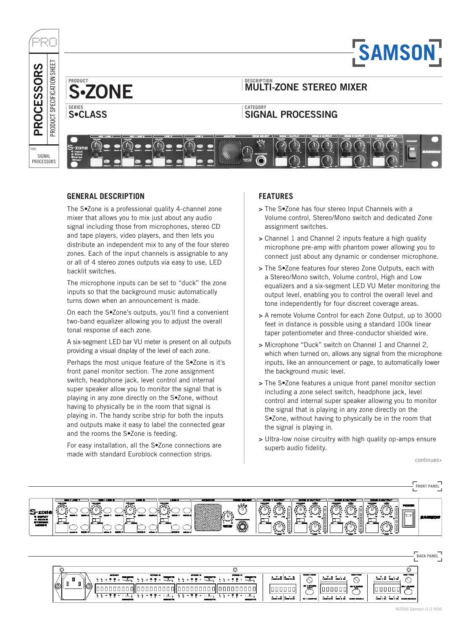

# **GENERAL DESCRIPTION**

The S•Zone is a professional quality 4-channel zone mixer that allows you to mix just about any audio signal including those from microphones, stereo CD and tape players, video players, and then lets you distribute an independent mix to any of the four stereo zones. Each of the input channels is assignable to any or all of 4 stereo zones outputs via easy to use, LED backlit switches.

The microphone inputs can be set to "duck" the zone inputs so that the background music automatically turns down when an announcement is made.

On each the S•Zone's outputs, you'll find a convenient two-band equalizer allowing you to adjust the overall tonal response of each zone.

A six-segment LED bar VU meter is present on all outputs providing a visual display of the level of each zone.

Perhaps the most unique feature of the S•Zone is it's front panel monitor section. The zone assignment switch, headphone jack, level control and internal super speaker allow you to monitor the signal that is playing in any zone directly on the S•Zone, without having to physically be in the room that signal is playing in. The handy scribe strip for both the inputs and outputs make it easy to label the connected gear and the rooms the S•Zone is feeding.

For easy installation, all the S•Zone connections are made with standard Euroblock connection strips.

# **FEATURES**

- > The S•Zone has four stereo Input Channels with a Volume control, Stereo/Mono switch and dedicated Zone assignment switches.
- > Channel 1 and Channel 2 inputs feature a high quality microphone pre-amp with phantom power allowing you to connect just about any dynamic or condenser microphone.
- > The S•Zone features four stereo Zone Outputs, each with a Stereo/Mono switch, Volume control, High and Low equalizers and a six-segment LED VU Meter monitoring the output level, enabling you to control the overall level and tone independently for four discreet coverage areas.
- > A remote Volume Control for each Zone Output, up to 3000 feet in distance is possible using a standard 100k linear taper potentiometer and three-conductor shielded wire.
- > Microphone "Duck" switch on Channel 1 and Channel 2, which when turned on, allows any signal from the microphone inputs, like an announcement or page, to automatically lower the background music level.
- > The S•Zone features a unique front panel monitor section including a zone select switch, headphone jack, level control and internal super speaker allowing you to monitor the signal that is playing in any zone directly on the S•Zone, without having to physically be in the room that the signal is playing in.
- > Ultra-low noise circuitry with high quality op-amps ensure superb audio fidelity.

continues»